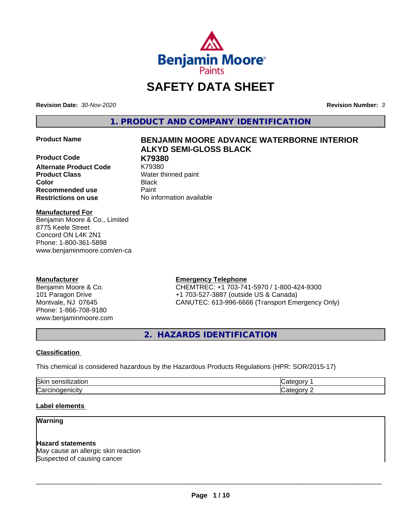

# **SAFETY DATA SHEET**

**Revision Date:** *30-Nov-2020* **Revision Number:** *3*

**1. PRODUCT AND COMPANY IDENTIFICATION**

**Product Code K79380 Alternate Product Code** K79380 **Product Class** Water thinned paint **Color** Black **Recommended use Caint Restrictions on use** No information available

## **Product Name BENJAMIN MOORE ADVANCE WATERBORNE INTERIOR ALKYD SEMI-GLOSS BLACK**

#### **Manufactured For**

Benjamin Moore & Co., Limited 8775 Keele Street Concord ON L4K 2N1 Phone: 1-800-361-5898 www.benjaminmoore.com/en-ca

## **Manufacturer**

Benjamin Moore & Co. 101 Paragon Drive Montvale, NJ 07645 Phone: 1-866-708-9180 www.benjaminmoore.com

## **Emergency Telephone**

CHEMTREC: +1 703-741-5970 / 1-800-424-9300 +1 703-527-3887 (outside US & Canada) CANUTEC: 613-996-6666 (Transport Emergency Only)

**2. HAZARDS IDENTIFICATION**

#### **Classification**

This chemical is considered hazardous by the Hazardous Products Regulations (HPR: SOR/2015-17)

| <b>Ski</b>    |  |
|---------------|--|
| $\sim$<br>نرا |  |

#### **Label elements**

## **Warning**

#### **Hazard statements**

May cause an allergic skin reaction Suspected of causing cancer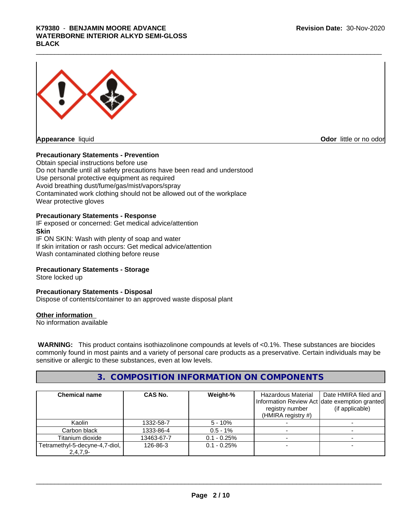## K79380 - BENJAMIN MOORE ADVANCE<br>WATERBORNE INTERIOR ALKYD SEMI-GLOSS<br>BLACK **WATERBORNE INTERIOR ALKYD SEMI-GLOSS BLACK**



## **Precautionary Statements - Prevention**

Obtain special instructions before use Do not handle until all safety precautions have been read and understood Use personal protective equipment as required Avoid breathing dust/fume/gas/mist/vapors/spray Contaminated work clothing should not be allowed out of the workplace Wear protective gloves

#### **Precautionary Statements - Response**

IF exposed or concerned: Get medical advice/attention **Skin** IF ON SKIN: Wash with plenty of soap and water

If skin irritation or rash occurs: Get medical advice/attention Wash contaminated clothing before reuse

#### **Precautionary Statements - Storage**

Store locked up

#### **Precautionary Statements - Disposal**

Dispose of contents/container to an approved waste disposal plant

#### **Other information**

No information available

 **WARNING:** This product contains isothiazolinone compounds at levels of <0.1%. These substances are biocides commonly found in most paints and a variety of personal care products as a preservative. Certain individuals may be sensitive or allergic to these substances, even at low levels.

## **3. COMPOSITION INFORMATION ON COMPONENTS**

| <b>Chemical name</b>                          | CAS No.    | Weight-%       | Hazardous Material<br>registry number<br>(HMIRA registry $#$ ) | Date HMIRA filed and<br>Information Review Act date exemption granted<br>(if applicable) |
|-----------------------------------------------|------------|----------------|----------------------------------------------------------------|------------------------------------------------------------------------------------------|
| Kaolin                                        | 1332-58-7  | $5 - 10%$      |                                                                |                                                                                          |
| Carbon black                                  | 1333-86-4  | $0.5 - 1\%$    |                                                                |                                                                                          |
| Titanium dioxide                              | 13463-67-7 | $0.1 - 0.25%$  |                                                                |                                                                                          |
| Tetramethyl-5-decyne-4,7-diol,<br>$2.4.7.9 -$ | 126-86-3   | $0.1 - 0.25\%$ |                                                                |                                                                                          |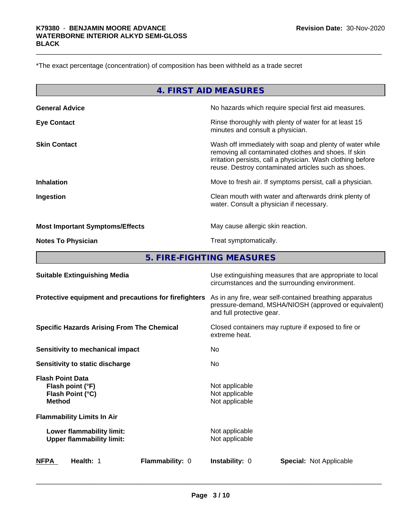\*The exact percentage (concentration) of composition has been withheld as a trade secret

| 4. FIRST AID MEASURES                  |                                                                                                                                                                                                                                        |  |  |
|----------------------------------------|----------------------------------------------------------------------------------------------------------------------------------------------------------------------------------------------------------------------------------------|--|--|
| <b>General Advice</b>                  | No hazards which require special first aid measures.                                                                                                                                                                                   |  |  |
| <b>Eye Contact</b>                     | Rinse thoroughly with plenty of water for at least 15<br>minutes and consult a physician.                                                                                                                                              |  |  |
| <b>Skin Contact</b>                    | Wash off immediately with soap and plenty of water while<br>removing all contaminated clothes and shoes. If skin<br>irritation persists, call a physician. Wash clothing before<br>reuse. Destroy contaminated articles such as shoes. |  |  |
| <b>Inhalation</b>                      | Move to fresh air. If symptoms persist, call a physician.                                                                                                                                                                              |  |  |
| Ingestion                              | Clean mouth with water and afterwards drink plenty of<br>water. Consult a physician if necessary.                                                                                                                                      |  |  |
| <b>Most Important Symptoms/Effects</b> | May cause allergic skin reaction.                                                                                                                                                                                                      |  |  |
| <b>Notes To Physician</b>              | Treat symptomatically.                                                                                                                                                                                                                 |  |  |
|                                        | 5. FIRE-FIGHTING MEASURES                                                                                                                                                                                                              |  |  |
| <b>Suitable Extinguishing Media</b>    | Use extinguishing measures that are appropriate to local<br>circumstances and the surrounding environment.                                                                                                                             |  |  |
|                                        |                                                                                                                                                                                                                                        |  |  |

**Protective equipment and precautions for firefighters** As in any fire, wear self-contained breathing apparatus pressure-demand, MSHA/NIOSH (approved or equivalent) and full protective gear.

**Specific Hazards Arising From The Chemical Closed containers may rupture if exposed to fire or** 

**Sensitivity to mechanical impact** No

**Sensitivity to static discharge** No

**Flash Point Data Flash point (°F)** Not applicable **Flash Point (°C)** Not applicable **Method** Not applicable

**Flammability Limits In Air Lower flammability limit:**<br>
Upper flammability limit:<br>
Upper flammability limit:<br>
Not applicable **Upper flammability limit:** 

extreme heat.

 $\overline{\phantom{a}}$  ,  $\overline{\phantom{a}}$  ,  $\overline{\phantom{a}}$  ,  $\overline{\phantom{a}}$  ,  $\overline{\phantom{a}}$  ,  $\overline{\phantom{a}}$  ,  $\overline{\phantom{a}}$  ,  $\overline{\phantom{a}}$  ,  $\overline{\phantom{a}}$  ,  $\overline{\phantom{a}}$  ,  $\overline{\phantom{a}}$  ,  $\overline{\phantom{a}}$  ,  $\overline{\phantom{a}}$  ,  $\overline{\phantom{a}}$  ,  $\overline{\phantom{a}}$  ,  $\overline{\phantom{a}}$ 

**NFPA Health:** 1 **Flammability:** 0 **Instability:** 0 **Special:** Not Applicable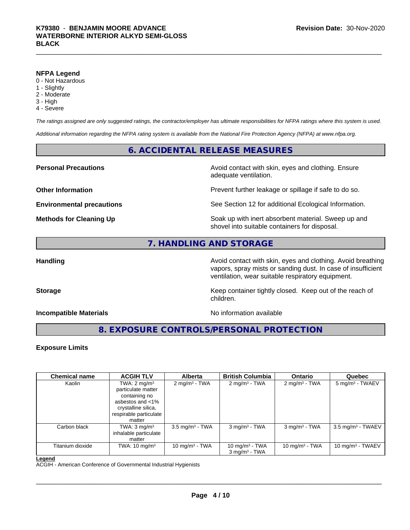#### **NFPA Legend**

- 0 Not Hazardous
- 1 Slightly
- 2 Moderate
- 3 High
- 4 Severe

*The ratings assigned are only suggested ratings, the contractor/employer has ultimate responsibilities for NFPA ratings where this system is used.*

*Additional information regarding the NFPA rating system is available from the National Fire Protection Agency (NFPA) at www.nfpa.org.*

## **6. ACCIDENTAL RELEASE MEASURES**

**Personal Precautions Precautions** Avoid contact with skin, eyes and clothing. Ensure adequate ventilation.

**Other Information Discription Prevent further leakage or spillage if safe to do so.** 

**Environmental precautions** See Section 12 for additional Ecological Information.

**Methods for Cleaning Up Example 20 Soak** up with inert absorbent material. Sweep up and shovel into suitable containers for disposal.

## **7. HANDLING AND STORAGE**

**Handling Handling Avoid contact with skin, eyes and clothing. Avoid breathing** vapors, spray mists or sanding dust. In case of insufficient ventilation, wear suitable respiratory equipment.

**Storage Keep container tightly closed. Keep out of the reach of Keep** container tightly closed. Keep out of the reach of children.

**Incompatible Materials Incompatible Materials No information available** 

 $\overline{\phantom{a}}$  ,  $\overline{\phantom{a}}$  ,  $\overline{\phantom{a}}$  ,  $\overline{\phantom{a}}$  ,  $\overline{\phantom{a}}$  ,  $\overline{\phantom{a}}$  ,  $\overline{\phantom{a}}$  ,  $\overline{\phantom{a}}$  ,  $\overline{\phantom{a}}$  ,  $\overline{\phantom{a}}$  ,  $\overline{\phantom{a}}$  ,  $\overline{\phantom{a}}$  ,  $\overline{\phantom{a}}$  ,  $\overline{\phantom{a}}$  ,  $\overline{\phantom{a}}$  ,  $\overline{\phantom{a}}$ 

**8. EXPOSURE CONTROLS/PERSONAL PROTECTION**

## **Exposure Limits**

| <b>Chemical name</b> | <b>ACGIH TLV</b>         | <b>Alberta</b>             | <b>British Columbia</b>     | <b>Ontario</b>              | Quebec                          |
|----------------------|--------------------------|----------------------------|-----------------------------|-----------------------------|---------------------------------|
| Kaolin               | TWA: $2 \text{ mg/m}^3$  | $2 \text{ mg/m}^3$ - TWA   | $2 \text{ mg/m}^3$ - TWA    | $2 \text{ mg/m}^3$ - TWA    | $5 \text{ mg/m}^3$ - TWAEV      |
|                      | particulate matter       |                            |                             |                             |                                 |
|                      | containing no            |                            |                             |                             |                                 |
|                      | asbestos and $<$ 1%      |                            |                             |                             |                                 |
|                      | crystalline silica,      |                            |                             |                             |                                 |
|                      | respirable particulate   |                            |                             |                             |                                 |
|                      | matter                   |                            |                             |                             |                                 |
| Carbon black         | TWA: $3 \text{ mg/m}^3$  | $3.5 \text{ mg/m}^3$ - TWA | $3$ mg/m <sup>3</sup> - TWA | $3$ mg/m <sup>3</sup> - TWA | $3.5$ mg/m <sup>3</sup> - TWAEV |
|                      | inhalable particulate    |                            |                             |                             |                                 |
|                      | matter                   |                            |                             |                             |                                 |
| Titanium dioxide     | TWA: $10 \text{ mg/m}^3$ | 10 mg/m $3$ - TWA          | 10 mg/m $3$ - TWA           | 10 mg/m $3$ - TWA           | 10 mg/m $3$ - TWAEV             |
|                      |                          |                            | $3 \text{ ma/m}^3$ - TWA    |                             |                                 |

#### **Legend**

ACGIH - American Conference of Governmental Industrial Hygienists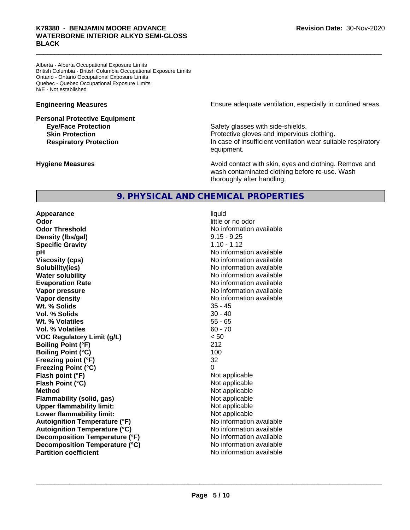## K79380 - BENJAMIN MOORE ADVANCE<br>WATERBORNE INTERIOR ALKYD SEMI-GLOSS<br>BLACK **WATERBORNE INTERIOR ALKYD SEMI-GLOSS BLACK**

Alberta - Alberta Occupational Exposure Limits British Columbia - British Columbia Occupational Exposure Limits Ontario - Ontario Occupational Exposure Limits Quebec - Quebec Occupational Exposure Limits N/E - Not established

#### **Personal Protective Equipment**

**Engineering Measures Ensure adequate ventilation, especially in confined areas.** 

**Eve/Face Protection Safety glasses with side-shields. Skin Protection Protection Protective gloves and impervious clothing. Respiratory Protection In case of insufficient ventilation wear suitable respiratory** equipment.

**Hygiene Measures Avoid contact with skin, eyes and clothing. Remove and Avoid contact with skin, eyes and clothing. Remove and Avoid contact with skin, eyes and clothing. Remove and** wash contaminated clothing before re-use. Wash thoroughly after handling.

## **9. PHYSICAL AND CHEMICAL PROPERTIES**

**Appearance** liquid **Odor** little or no odor **Odor Threshold** No information available **Density (Ibs/gal)** 9.15 - 9.25 **Specific Gravity** 1.10 - 1.12 **pH pH**  $\blacksquare$ **Viscosity (cps)** No information available **Solubility(ies)** No information available **Water solubility** No information available **Evaporation Rate Evaporation Rate No information available Vapor pressure** No information available **Vapor density No information available No information available Wt. % Solids** 35 - 45<br> **Vol. % Solids** 30 - 40 **Vol. % Solids Wt. % Volatiles** 55 - 65 **Vol. % Volatiles** 60 - 70 **VOC Regulatory Limit (g/L)** < 50 **Boiling Point (°F)** 212 **Boiling Point (°C)** 100 **Freezing point (°F)** 32 **Freezing Point (°C)** 0 **Flash point (°F)** Not applicable **Flash Point (°C)** Not applicable **Method** Not applicable **Flammability (solid, gas)** Not applicable **Upper flammability limit:** Not applicable **Lower flammability limit:** Not applicable **Autoignition Temperature (°F)** No information available **Autoignition Temperature (°C)** No information available **Decomposition Temperature (°F)** No information available **Decomposition Temperature (°C)**<br> **Partition coefficient**<br> **Partition coefficient**<br> **No** information available

**No information available**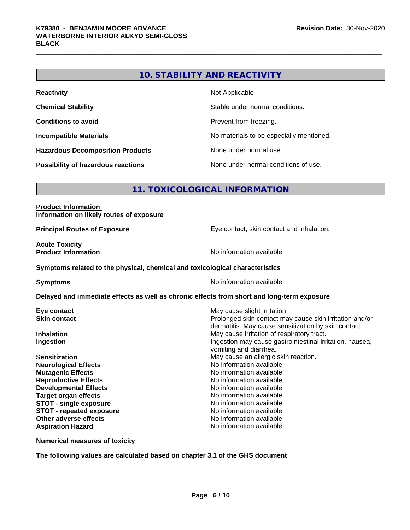## **10. STABILITY AND REACTIVITY**

| <b>Reactivity</b>                         | Not Applicable                           |
|-------------------------------------------|------------------------------------------|
| <b>Chemical Stability</b>                 | Stable under normal conditions.          |
| <b>Conditions to avoid</b>                | Prevent from freezing.                   |
| <b>Incompatible Materials</b>             | No materials to be especially mentioned. |
| <b>Hazardous Decomposition Products</b>   | None under normal use.                   |
| <b>Possibility of hazardous reactions</b> | None under normal conditions of use.     |

## **11. TOXICOLOGICAL INFORMATION**

#### **Product Information Information on likely routes of exposure**

**Principal Routes of Exposure Exposure** Eye contact, skin contact and inhalation.

**Acute Toxicity** 

**Product Information Information No information available** 

#### **Symptoms** related to the physical, chemical and toxicological characteristics

**Symptoms** No information available

#### **Delayed and immediate effects as well as chronic effects from short and long-term exposure**

**Neurological Effects Mutagenic Effects No information available. Reproductive Effects No information available.** No information available. **Developmental Effects No information available. Target organ effects No information available. STOT** - single exposure **No information available. STOT** - **repeated exposure** No information available. **Other adverse effects** Noinformation available. **Aspiration Hazard No information available.** 

**Eye contact Exercise Solution Exercise Solution May cause slight irritation Skin contact Skin contact Skin contact Skin contact** may cause skin irritation and/or dermatitis. May cause sensitization by skin contact. **Inhalation** May cause irritation of respiratory tract. **Ingestion Ingestion Ingestion may cause gastrointestinal irritation, nausea,** vomiting and diarrhea. **Sensitization**<br> **Neurological Effects**<br> **Neurological Effects**<br> **No** information available.

**Numerical measures of toxicity**

**The following values are calculated based on chapter 3.1 of the GHS document**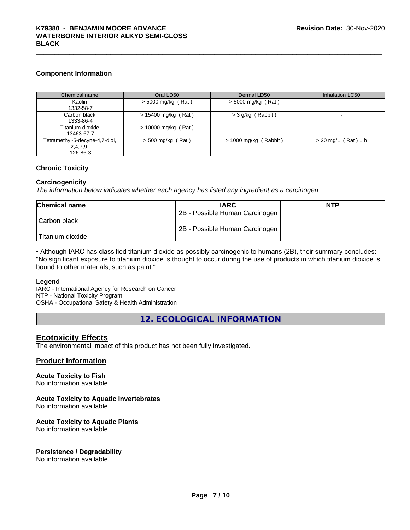## **Component Information**

| Chemical name                                            | Oral LD50             | Dermal LD50             | Inhalation LC50       |
|----------------------------------------------------------|-----------------------|-------------------------|-----------------------|
| Kaolin<br>1332-58-7                                      | > 5000 mg/kg (Rat)    | $>$ 5000 mg/kg (Rat)    |                       |
| Carbon black<br>1333-86-4                                | $> 15400$ mg/kg (Rat) | > 3 g/kg (Rabbit)       |                       |
| Titanium dioxide<br>13463-67-7                           | $> 10000$ mg/kg (Rat) |                         |                       |
| Tetramethyl-5-decyne-4,7-diol,<br>$2,4,7,9-$<br>126-86-3 | $>$ 500 mg/kg (Rat)   | $> 1000$ mg/kg (Rabbit) | $> 20$ mg/L (Rat) 1 h |

### **Chronic Toxicity**

### **Carcinogenicity**

*The information below indicateswhether each agency has listed any ingredient as a carcinogen:.*

| <b>Chemical name</b> | <b>IARC</b>                    | <b>NTP</b> |
|----------------------|--------------------------------|------------|
|                      | 2B - Possible Human Carcinogen |            |
| l Carbon black       |                                |            |
|                      | 2B - Possible Human Carcinogen |            |
| Titanium dioxide     |                                |            |

• Although IARC has classified titanium dioxide as possibly carcinogenic to humans (2B), their summary concludes: "No significant exposure to titanium dioxide is thought to occur during the use of products in which titanium dioxide is bound to other materials, such as paint."

#### **Legend**

IARC - International Agency for Research on Cancer NTP - National Toxicity Program OSHA - Occupational Safety & Health Administration

**12. ECOLOGICAL INFORMATION**

## **Ecotoxicity Effects**

The environmental impact of this product has not been fully investigated.

### **Product Information**

## **Acute Toxicity to Fish**

No information available

## **Acute Toxicity to Aquatic Invertebrates**

No information available

#### **Acute Toxicity to Aquatic Plants**

No information available

## **Persistence / Degradability**

No information available.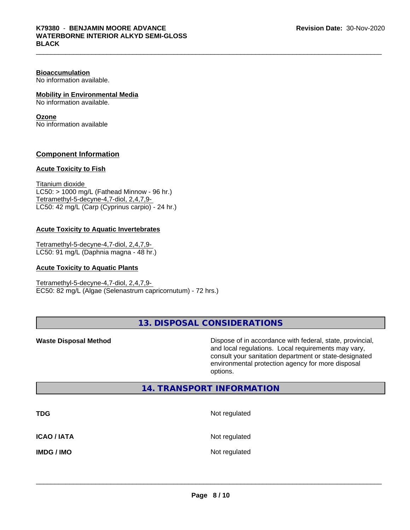#### **Bioaccumulation**

No information available.

#### **Mobility in Environmental Media**

No information available.

#### **Ozone**

No information available

## **Component Information**

#### **Acute Toxicity to Fish**

Titanium dioxide  $LC50:$  > 1000 mg/L (Fathead Minnow - 96 hr.) Tetramethyl-5-decyne-4,7-diol, 2,4,7,9- LC50: 42 mg/L (Carp (Cyprinus carpio) - 24 hr.)

#### **Acute Toxicity to Aquatic Invertebrates**

Tetramethyl-5-decyne-4,7-diol, 2,4,7,9- LC50: 91 mg/L (Daphnia magna - 48 hr.)

#### **Acute Toxicity to Aquatic Plants**

Tetramethyl-5-decyne-4,7-diol, 2,4,7,9- EC50: 82 mg/L (Algae (Selenastrum capricornutum) - 72 hrs.)

**13. DISPOSAL CONSIDERATIONS**

**Waste Disposal Method Dispose of in accordance with federal, state, provincial,** and local regulations. Local requirements may vary, consult your sanitation department or state-designated environmental protection agency for more disposal options.

## **14. TRANSPORT INFORMATION**

| <b>TDG</b>         | Not regulated |
|--------------------|---------------|
| <b>ICAO / IATA</b> | Not regulated |
| <b>IMDG / IMO</b>  | Not regulated |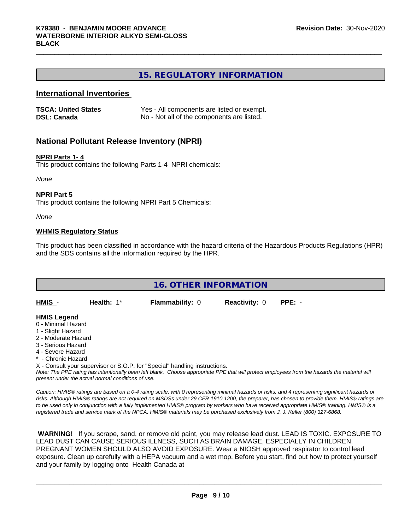## **15. REGULATORY INFORMATION**

## **International Inventories**

| <b>TSCA: United States</b> | Yes - All components are listed or exempt. |
|----------------------------|--------------------------------------------|
| <b>DSL: Canada</b>         | No - Not all of the components are listed. |

### **National Pollutant Release Inventory (NPRI)**

#### **NPRI Parts 1- 4**

This product contains the following Parts 1-4 NPRI chemicals:

*None*

#### **NPRI Part 5**

This product contains the following NPRI Part 5 Chemicals:

*None*

#### **WHMIS Regulatory Status**

This product has been classified in accordance with the hazard criteria of the Hazardous Products Regulations (HPR) and the SDS contains all the information required by the HPR.

|                                                                                                                                 | <b>16. OTHER INFORMATION</b> |                        |                      |          |  |  |
|---------------------------------------------------------------------------------------------------------------------------------|------------------------------|------------------------|----------------------|----------|--|--|
| HMIS -                                                                                                                          | Health: 1*                   | <b>Flammability: 0</b> | <b>Reactivity: 0</b> | $PPE: -$ |  |  |
| <b>HMIS Legend</b><br>0 - Minimal Hazard<br>1 - Slight Hazard<br>2 - Moderate Hazard<br>3 - Serious Hazard<br>4 - Severe Hazard |                              |                        |                      |          |  |  |

- Chronic Hazard

X - Consult your supervisor or S.O.P. for "Special" handling instructions.

*Note: The PPE rating has intentionally been left blank. Choose appropriate PPE that will protect employees from the hazards the material will present under the actual normal conditions of use.*

*Caution: HMISÒ ratings are based on a 0-4 rating scale, with 0 representing minimal hazards or risks, and 4 representing significant hazards or risks. Although HMISÒ ratings are not required on MSDSs under 29 CFR 1910.1200, the preparer, has chosen to provide them. HMISÒ ratings are to be used only in conjunction with a fully implemented HMISÒ program by workers who have received appropriate HMISÒ training. HMISÒ is a registered trade and service mark of the NPCA. HMISÒ materials may be purchased exclusively from J. J. Keller (800) 327-6868.*

 **WARNING!** If you scrape, sand, or remove old paint, you may release lead dust. LEAD IS TOXIC. EXPOSURE TO LEAD DUST CAN CAUSE SERIOUS ILLNESS, SUCH AS BRAIN DAMAGE, ESPECIALLY IN CHILDREN. PREGNANT WOMEN SHOULD ALSO AVOID EXPOSURE.Wear a NIOSH approved respirator to control lead exposure. Clean up carefully with a HEPA vacuum and a wet mop. Before you start, find out how to protect yourself and your family by logging onto Health Canada at